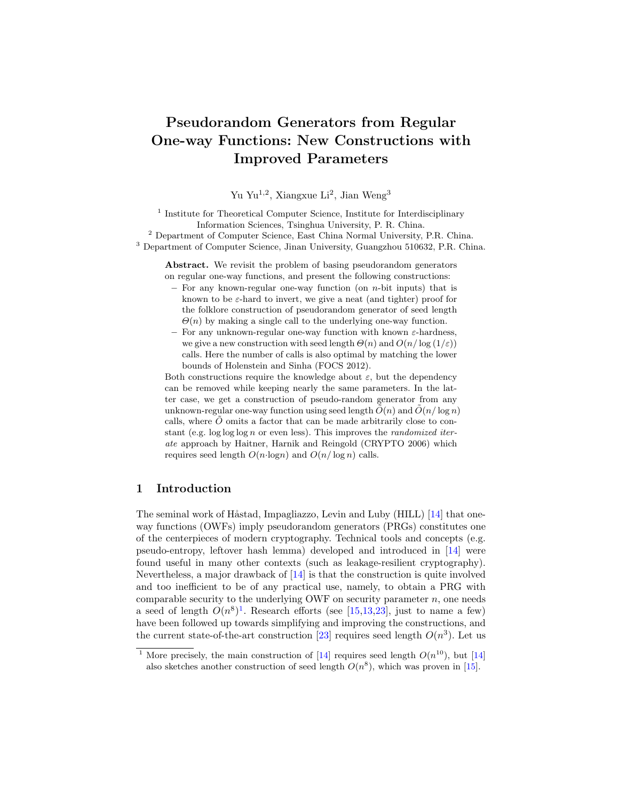# Pseudorandom Generators from Regular One-way Functions: New Constructions with Improved Parameters

Yu Yu<sup>1,2</sup>, Xiangxue Li<sup>2</sup>, Jian Weng<sup>3</sup>

<sup>1</sup> Institute for Theoretical Computer Science, Institute for Interdisciplinary Information Sciences, Tsinghua University, P. R. China. <sup>2</sup> Department of Computer Science, East China Normal University, P.R. China.

<sup>3</sup> Department of Computer Science, Jinan University, Guangzhou 510632, P.R. China.

Abstract. We revisit the problem of basing pseudorandom generators on regular one-way functions, and present the following constructions:

- $-$  For any known-regular one-way function (on *n*-bit inputs) that is known to be  $\varepsilon$ -hard to invert, we give a neat (and tighter) proof for the folklore construction of pseudorandom generator of seed length  $\Theta(n)$  by making a single call to the underlying one-way function.
- For any unknown-regular one-way function with known ε-hardness, we give a new construction with seed length  $\Theta(n)$  and  $O(n/\log(1/\varepsilon))$ calls. Here the number of calls is also optimal by matching the lower bounds of Holenstein and Sinha (FOCS 2012).

Both constructions require the knowledge about  $\varepsilon$ , but the dependency can be removed while keeping nearly the same parameters. In the latter case, we get a construction of pseudo-random generator from any unknown-regular one-way function using seed length  $\tilde{O}(n)$  and  $\tilde{O}(n/\log n)$ calls, where  $\tilde{O}$  omits a factor that can be made arbitrarily close to constant (e.g.  $\log \log \log n$  or even less). This improves the *randomized iter*ate approach by Haitner, Harnik and Reingold (CRYPTO 2006) which requires seed length  $O(n \cdot \log n)$  and  $O(n/\log n)$  calls.

# 1 Introduction

The seminal work of Håstad, Impagliazzo, Levin and Luby (HILL)  $[14]$  that oneway functions (OWFs) imply pseudorandom generators (PRGs) constitutes one of the centerpieces of modern cryptography. Technical tools and concepts (e.g. pseudo-entropy, leftover hash lemma) developed and introduced in [\[14\]](#page-17-0) were found useful in many other contexts (such as leakage-resilient cryptography). Nevertheless, a major drawback of [\[14\]](#page-17-0) is that the construction is quite involved and too inefficient to be of any practical use, namely, to obtain a PRG with comparable security to the underlying OWF on security parameter  $n$ , one needs a seed of length  $O(n^8)^1$  $O(n^8)^1$ . Research efforts (see [\[15,](#page-17-1)[13,](#page-17-2)[23\]](#page-18-0), just to name a few) have been followed up towards simplifying and improving the constructions, and the current state-of-the-art construction [\[23\]](#page-18-0) requires seed length  $O(n^3)$ . Let us

<span id="page-0-0"></span><sup>&</sup>lt;sup>1</sup> More precisely, the main construction of [\[14\]](#page-17-0) requires seed length  $O(n^{10})$ , but [14] also sketches another construction of seed length  $O(n^8)$ , which was proven in [\[15\]](#page-17-1).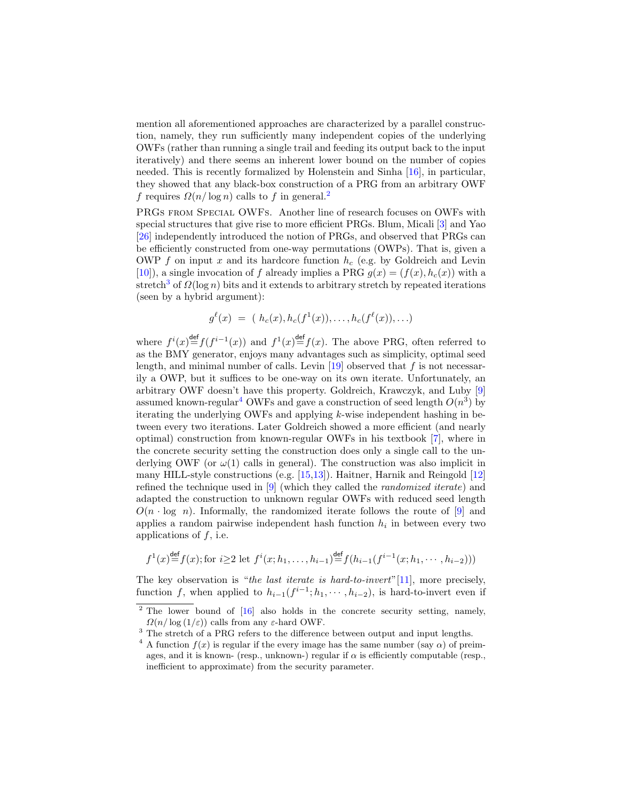mention all aforementioned approaches are characterized by a parallel construction, namely, they run sufficiently many independent copies of the underlying OWFs (rather than running a single trail and feeding its output back to the input iteratively) and there seems an inherent lower bound on the number of copies needed. This is recently formalized by Holenstein and Sinha [\[16\]](#page-17-3), in particular, they showed that any black-box construction of a PRG from an arbitrary OWF f requires  $\Omega(n/\log n)$  calls to f in general.<sup>[2](#page-1-0)</sup>

PRGs from Special OWFs. Another line of research focuses on OWFs with special structures that give rise to more efficient PRGs. Blum, Micali [\[3\]](#page-17-4) and Yao [\[26\]](#page-18-1) independently introduced the notion of PRGs, and observed that PRGs can be efficiently constructed from one-way permutations (OWPs). That is, given a OWP f on input x and its hardcore function  $h_c$  (e.g. by Goldreich and Levin [\[10\]](#page-17-5)), a single invocation of f already implies a PRG  $g(x) = (f(x), h_c(x))$  with a stretch<sup>[3](#page-1-1)</sup> of  $\Omega(\log n)$  bits and it extends to arbitrary stretch by repeated iterations (seen by a hybrid argument):

$$
g^{\ell}(x) = (h_c(x), h_c(f^1(x)), \ldots, h_c(f^{\ell}(x)), \ldots)
$$

where  $f^{i}(x) \stackrel{\text{def}}{=} f(f^{i-1}(x))$  and  $f^{1}(x) \stackrel{\text{def}}{=} f(x)$ . The above PRG, often referred to as the BMY generator, enjoys many advantages such as simplicity, optimal seed length, and minimal number of calls. Levin  $[19]$  observed that f is not necessarily a OWP, but it suffices to be one-way on its own iterate. Unfortunately, an arbitrary OWF doesn't have this property. Goldreich, Krawczyk, and Luby [\[9\]](#page-17-7) assumed known-regular<sup>[4](#page-1-2)</sup> OWFs and gave a construction of seed length  $O(n^3)$  by iterating the underlying OWFs and applying k-wise independent hashing in between every two iterations. Later Goldreich showed a more efficient (and nearly optimal) construction from known-regular OWFs in his textbook [\[7\]](#page-17-8), where in the concrete security setting the construction does only a single call to the underlying OWF (or  $\omega(1)$  calls in general). The construction was also implicit in many HILL-style constructions (e.g. [\[15,](#page-17-1)[13\]](#page-17-2)). Haitner, Harnik and Reingold [\[12\]](#page-17-9) refined the technique used in [\[9\]](#page-17-7) (which they called the randomized iterate) and adapted the construction to unknown regular OWFs with reduced seed length  $O(n \cdot \log n)$ . Informally, the randomized iterate follows the route of [\[9\]](#page-17-7) and applies a random pairwise independent hash function  $h_i$  in between every two applications of  $f$ , i.e.

$$
f^1(x) \stackrel{\text{def}}{=} f(x);
$$
 for  $i \ge 2$  let  $f^i(x; h_1, \ldots, h_{i-1}) \stackrel{\text{def}}{=} f(h_{i-1}(f^{i-1}(x; h_1, \cdots, h_{i-2})))$ 

The key observation is "the last iterate is hard-to-invert"[\[11\]](#page-17-10), more precisely, function f, when applied to  $h_{i-1}(f^{i-1}; h_1, \dots, h_{i-2})$ , is hard-to-invert even if

<span id="page-1-0"></span><sup>&</sup>lt;sup>2</sup> The lower bound of [\[16\]](#page-17-3) also holds in the concrete security setting, namely,  $\Omega(n/\log(1/\varepsilon))$  calls from any  $\varepsilon$ -hard OWF.

<span id="page-1-1"></span><sup>&</sup>lt;sup>3</sup> The stretch of a PRG refers to the difference between output and input lengths.

<span id="page-1-2"></span><sup>&</sup>lt;sup>4</sup> A function  $f(x)$  is regular if the every image has the same number (say  $\alpha$ ) of preimages, and it is known- (resp., unknown-) regular if  $\alpha$  is efficiently computable (resp., inefficient to approximate) from the security parameter.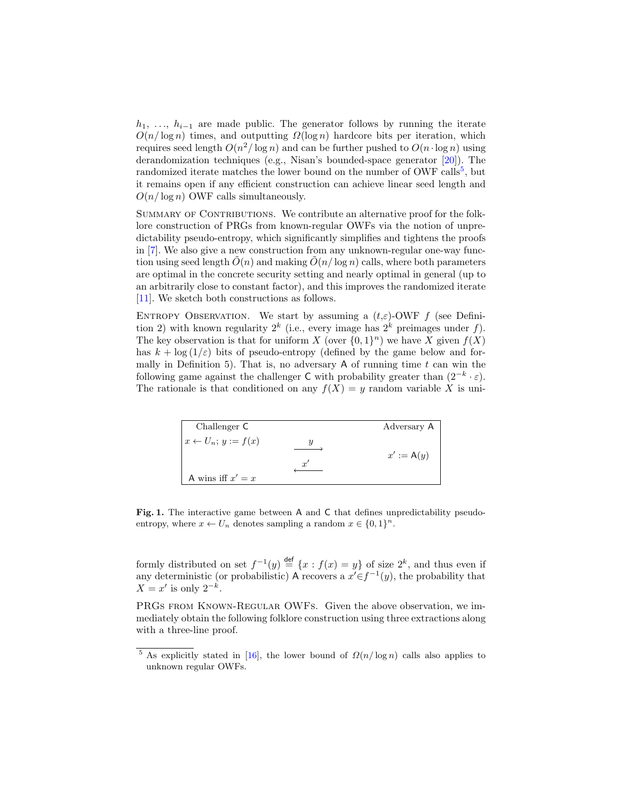$h_1, \ldots, h_{i-1}$  are made public. The generator follows by running the iterate  $O(n/\log n)$  times, and outputting  $\Omega(\log n)$  hardcore bits per iteration, which requires seed length  $O(n^2/\log n)$  and can be further pushed to  $O(n \cdot \log n)$  using derandomization techniques (e.g., Nisan's bounded-space generator [\[20\]](#page-17-11)). The randomized iterate matches the lower bound on the number of OWF calls<sup>[5](#page-2-0)</sup>, but it remains open if any efficient construction can achieve linear seed length and  $O(n/\log n)$  OWF calls simultaneously.

SUMMARY OF CONTRIBUTIONS. We contribute an alternative proof for the folklore construction of PRGs from known-regular OWFs via the notion of unpredictability pseudo-entropy, which significantly simplifies and tightens the proofs in [\[7\]](#page-17-8). We also give a new construction from any unknown-regular one-way function using seed length  $\tilde{O}(n)$  and making  $\tilde{O}(n/\log n)$  calls, where both parameters are optimal in the concrete security setting and nearly optimal in general (up to an arbitrarily close to constant factor), and this improves the randomized iterate [\[11\]](#page-17-10). We sketch both constructions as follows.

ENTROPY OBSERVATION. We start by assuming a  $(t,\varepsilon)$ -OWF f (see Definition 2) with known regularity  $2^k$  (i.e., every image has  $2^k$  preimages under f). The key observation is that for uniform X (over  $\{0,1\}^n$ ) we have X given  $f(X)$ has  $k + \log(1/\varepsilon)$  bits of pseudo-entropy (defined by the game below and formally in Definition 5). That is, no adversary  $A$  of running time  $t$  can win the following game against the challenger C with probability greater than  $(2^{-k} \cdot \varepsilon)$ . The rationale is that conditioned on any  $f(X) = y$  random variable X is uni-

| Challenger $C$                   | Adversary A  |
|----------------------------------|--------------|
| $x \leftarrow U_n$ ; $y := f(x)$ |              |
|                                  | $x' := A(y)$ |
| A wins iff $x' = x$              |              |

Fig. 1. The interactive game between A and C that defines unpredictability pseudoentropy, where  $x \leftarrow U_n$  denotes sampling a random  $x \in \{0,1\}^n$ .

formly distributed on set  $f^{-1}(y) \stackrel{\text{def}}{=} \{x : f(x) = y\}$  of size  $2^k$ , and thus even if any deterministic (or probabilistic) A recovers a  $x' \in f^{-1}(y)$ , the probability that  $X = x'$  is only  $2^{-k}$ .

PRGs FROM KNOWN-REGULAR OWFS. Given the above observation, we immediately obtain the following folklore construction using three extractions along with a three-line proof.

<span id="page-2-0"></span><sup>&</sup>lt;sup>5</sup> As explicitly stated in [\[16\]](#page-17-3), the lower bound of  $\Omega(n/\log n)$  calls also applies to unknown regular OWFs.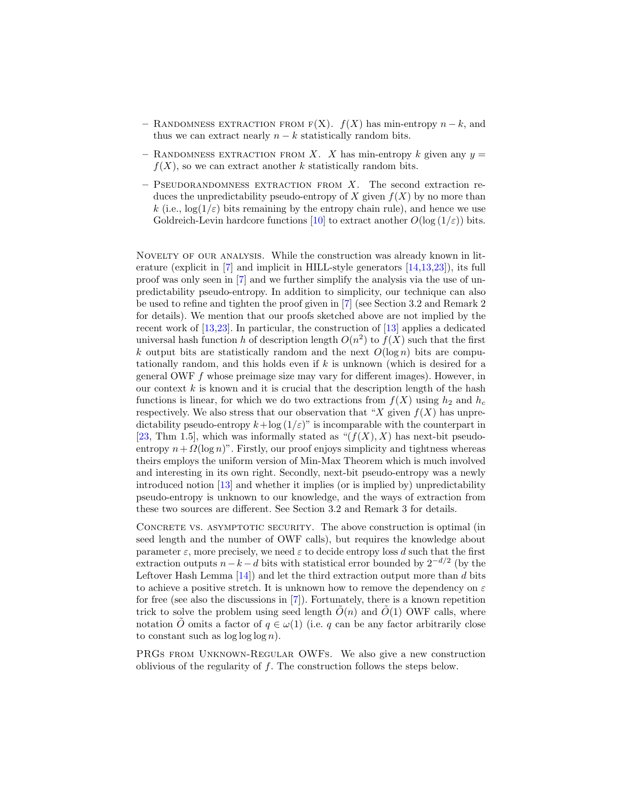- RANDOMNESS EXTRACTION FROM  $F(X)$ .  $f(X)$  has min-entropy  $n k$ , and thus we can extract nearly  $n - k$  statistically random bits.
- RANDOMNESS EXTRACTION FROM X. X has min-entropy k given any  $y =$  $f(X)$ , so we can extract another k statistically random bits.
- $-$  PSEUDORANDOMNESS EXTRACTION FROM  $X$ . The second extraction reduces the unpredictability pseudo-entropy of X given  $f(X)$  by no more than k (i.e.,  $\log(1/\varepsilon)$  bits remaining by the entropy chain rule), and hence we use Goldreich-Levin hardcore functions [\[10\]](#page-17-5) to extract another  $O(\log(1/\varepsilon))$  bits.

Novelty of our analysis. While the construction was already known in literature (explicit in [\[7\]](#page-17-8) and implicit in HILL-style generators [\[14,](#page-17-0)[13,](#page-17-2)[23\]](#page-18-0)), its full proof was only seen in [\[7\]](#page-17-8) and we further simplify the analysis via the use of unpredictability pseudo-entropy. In addition to simplicity, our technique can also be used to refine and tighten the proof given in [\[7\]](#page-17-8) (see Section 3.2 and Remark 2 for details). We mention that our proofs sketched above are not implied by the recent work of [\[13](#page-17-2)[,23\]](#page-18-0). In particular, the construction of [\[13\]](#page-17-2) applies a dedicated universal hash function h of description length  $O(n^2)$  to  $f(X)$  such that the first k output bits are statistically random and the next  $O(\log n)$  bits are computationally random, and this holds even if  $k$  is unknown (which is desired for a general OWF f whose preimage size may vary for different images). However, in our context  $k$  is known and it is crucial that the description length of the hash functions is linear, for which we do two extractions from  $f(X)$  using  $h_2$  and  $h_c$ respectively. We also stress that our observation that "X given  $f(X)$  has unpredictability pseudo-entropy  $k + \log (1/\varepsilon)$ " is incomparable with the counterpart in [\[23,](#page-18-0) Thm 1.5], which was informally stated as " $(f(X), X)$  has next-bit pseudoentropy  $n + \Omega(\log n)$ ". Firstly, our proof enjoys simplicity and tightness whereas theirs employs the uniform version of Min-Max Theorem which is much involved and interesting in its own right. Secondly, next-bit pseudo-entropy was a newly introduced notion [\[13\]](#page-17-2) and whether it implies (or is implied by) unpredictability pseudo-entropy is unknown to our knowledge, and the ways of extraction from these two sources are different. See Section 3.2 and Remark 3 for details.

CONCRETE VS. ASYMPTOTIC SECURITY. The above construction is optimal (in seed length and the number of OWF calls), but requires the knowledge about parameter  $\varepsilon$ , more precisely, we need  $\varepsilon$  to decide entropy loss d such that the first extraction outputs  $n-k-d$  bits with statistical error bounded by  $2^{-d/2}$  (by the Leftover Hash Lemma  $[14]$  and let the third extraction output more than  $d$  bits to achieve a positive stretch. It is unknown how to remove the dependency on  $\varepsilon$ for free (see also the discussions in [\[7\]](#page-17-8)). Fortunately, there is a known repetition trick to solve the problem using seed length  $O(n)$  and  $O(1)$  OWF calls, where notation O omits a factor of  $q \in \omega(1)$  (i.e. q can be any factor arbitrarily close to constant such as  $\log \log \log n$ .

PRGs from Unknown-Regular OWFs. We also give a new construction oblivious of the regularity of f. The construction follows the steps below.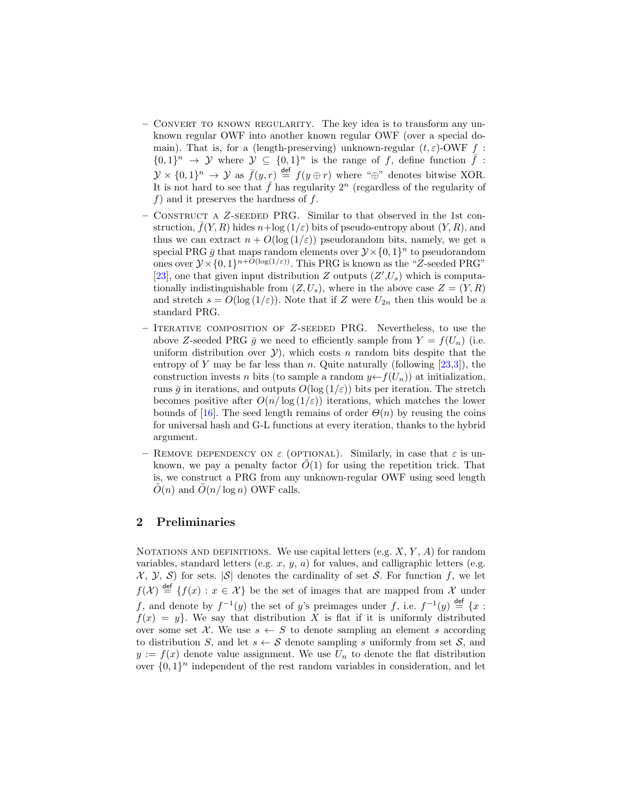- Convert to known regularity. The key idea is to transform any unknown regular OWF into another known regular OWF (over a special domain). That is, for a (length-preserving) unknown-regular  $(t, \varepsilon)$ -OWF f :  $\{0,1\}^n \to \mathcal{Y}$  where  $\mathcal{Y} \subseteq \{0,1\}^n$  is the range of f, define function  $\bar{f}$ :  $\mathcal{Y} \times \{0,1\}^n \to \mathcal{Y}$  as  $\bar{f}(y,r) \stackrel{\text{def}}{=} f(y \oplus r)$  where " $\oplus$ " denotes bitwise XOR. It is not hard to see that  $\bar{f}$  has regularity  $2^n$  (regardless of the regularity of  $f$ ) and it preserves the hardness of  $f$ .
- Construct a Z-seeded PRG. Similar to that observed in the 1st construction,  $\bar{f}(Y, R)$  hides  $n + \log(1/\varepsilon)$  bits of pseudo-entropy about  $(Y, R)$ , and thus we can extract  $n + O(\log(1/\varepsilon))$  pseudorandom bits, namely, we get a special PRG  $\bar{g}$  that maps random elements over  $\mathcal{Y} \times \{0,1\}^n$  to pseudorandom ones over  $\mathcal{Y} \times \{0,1\}^{n+O(\log(1/\varepsilon))}$ . This PRG is known as the "Z-seeded PRG" [\[23\]](#page-18-0), one that given input distribution  $Z$  outputs  $(Z', U_s)$  which is computationally indistinguishable from  $(Z, U_s)$ , where in the above case  $Z = (Y, R)$ and stretch  $s = O(\log(1/\varepsilon))$ . Note that if Z were  $U_{2n}$  then this would be a standard PRG.
- Iterative composition of Z-seeded PRG. Nevertheless, to use the above Z-seeded PRG  $\bar{q}$  we need to efficiently sample from  $Y = f(U_n)$  (i.e. uniform distribution over  $\mathcal{Y}$ ), which costs n random bits despite that the entropy of Y may be far less than n. Quite naturally (following  $[23,3]$  $[23,3]$ ), the construction invests n bits (to sample a random  $y \leftarrow f(U_n)$ ) at initialization, runs  $\bar{g}$  in iterations, and outputs  $O(\log(1/\varepsilon))$  bits per iteration. The stretch becomes positive after  $O(n/\log(1/\varepsilon))$  iterations, which matches the lower bounds of [\[16\]](#page-17-3). The seed length remains of order  $\Theta(n)$  by reusing the coins for universal hash and G-L functions at every iteration, thanks to the hybrid argument.
- REMOVE DEPENDENCY ON  $\varepsilon$  (OPTIONAL). Similarly, in case that  $\varepsilon$  is unknown, we pay a penalty factor  $O(1)$  for using the repetition trick. That is, we construct a PRG from any unknown-regular OWF using seed length  $O(n)$  and  $O(n/\log n)$  OWF calls.

### 2 Preliminaries

NOTATIONS AND DEFINITIONS. We use capital letters (e.g.  $X, Y, A$ ) for random variables, standard letters (e.g.  $x, y, a$ ) for values, and calligraphic letters (e.g.  $\mathcal{X}, \mathcal{Y}, \mathcal{S}$  for sets.  $|\mathcal{S}|$  denotes the cardinality of set S. For function f, we let  $f(\mathcal{X}) \stackrel{\text{def}}{=} \{f(x) : x \in \mathcal{X}\}\$ be the set of images that are mapped from  $\mathcal{X}$  under f, and denote by  $f^{-1}(y)$  the set of y's preimages under f, i.e.  $f^{-1}(y) \stackrel{\text{def}}{=} \{x :$  $f(x) = y$ . We say that distribution X is flat if it is uniformly distributed over some set X. We use  $s \leftarrow S$  to denote sampling an element s according to distribution S, and let  $s \leftarrow S$  denote sampling s uniformly from set S, and  $y := f(x)$  denote value assignment. We use  $U_n$  to denote the flat distribution over  $\{0,1\}^n$  independent of the rest random variables in consideration, and let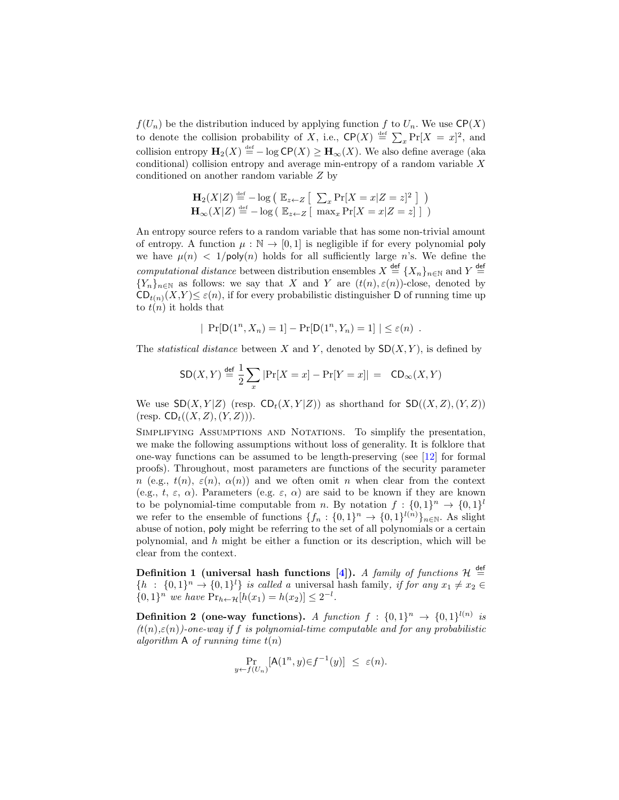$f(U_n)$  be the distribution induced by applying function f to  $U_n$ . We use  $\mathsf{CP}(X)$ to denote the collision probability of X, i.e.,  $\mathsf{CP}(X) \stackrel{\text{def}}{=} \sum_x \Pr[X = x]^2$ , and collision entropy  $\mathbf{H}_2(X) \stackrel{\text{def}}{=} -\log \mathsf{CP}(X) \geq \mathbf{H}_{\infty}(X)$ . We also define average (aka conditional) collision entropy and average min-entropy of a random variable  $X$ conditioned on another random variable Z by

$$
\mathbf{H}_2(X|Z) \stackrel{\text{def}}{=} -\log\left(\mathbb{E}_{z \leftarrow Z} \left[\sum_x \Pr[X = x | Z = z]^2\right]\right)\right)
$$
  

$$
\mathbf{H}_{\infty}(X|Z) \stackrel{\text{def}}{=} -\log\left(\mathbb{E}_{z \leftarrow Z} \left[\max_x \Pr[X = x | Z = z]\right]\right)\right)
$$

An entropy source refers to a random variable that has some non-trivial amount of entropy. A function  $\mu : \mathbb{N} \to [0, 1]$  is negligible if for every polynomial poly we have  $\mu(n) < 1/\text{poly}(n)$  holds for all sufficiently large n's. We define the computational distance between distribution ensembles  $X \stackrel{\text{def}}{=} \{X_n\}_{n\in\mathbb{N}}$  and  $Y \stackrel{\text{def}}{=}$  ${Y_n}_{n\in\mathbb{N}}$  as follows: we say that X and Y are  $(t(n), \varepsilon(n))$ -close, denoted by  $CD_{t(n)}(X,Y) \leq \varepsilon(n)$ , if for every probabilistic distinguisher D of running time up to  $t(n)$  it holds that

$$
| \Pr[D(1^n, X_n) = 1] - \Pr[D(1^n, Y_n) = 1] | \le \varepsilon(n) .
$$

The *statistical distance* between X and Y, denoted by  $SD(X, Y)$ , is defined by

$$
\mathsf{SD}(X,Y) \stackrel{\mathsf{def}}{=} \frac{1}{2} \sum_x |\Pr[X=x] - \Pr[Y=x]| = \mathsf{CD}_\infty(X,Y)
$$

We use  $SD(X, Y|Z)$  (resp.  $CD_t(X, Y|Z)$ ) as shorthand for  $SD((X, Z), (Y, Z))$  $(\text{resp. } \mathsf{CD}_{t}((X, Z), (Y, Z))).$ 

SIMPLIFYING ASSUMPTIONS AND NOTATIONS. To simplify the presentation, we make the following assumptions without loss of generality. It is folklore that one-way functions can be assumed to be length-preserving (see [\[12\]](#page-17-9) for formal proofs). Throughout, most parameters are functions of the security parameter n (e.g.,  $t(n)$ ,  $\varepsilon(n)$ ,  $\alpha(n)$ ) and we often omit n when clear from the context (e.g., t,  $\varepsilon$ ,  $\alpha$ ). Parameters (e.g.  $\varepsilon$ ,  $\alpha$ ) are said to be known if they are known to be polynomial-time computable from *n*. By notation  $f: \{0,1\}^n \to \{0,1\}^l$ we refer to the ensemble of functions  $\{f_n: \{0,1\}^n \to \{0,1\}^{l(n)}\}_{n\in\mathbb{N}}$ . As slight abuse of notion, poly might be referring to the set of all polynomials or a certain polynomial, and h might be either a function or its description, which will be clear from the context.

Definition 1 (universal hash functions [\[4\]](#page-17-12)). A family of functions  $\mathcal{H} \stackrel{\text{def}}{=}$  $\{h : \{0,1\}^n \to \{0,1\}^l\}$  is called a universal hash family, if for any  $x_1 \neq x_2 \in$  $\{0,1\}^n$  we have  $Pr_{h \leftarrow H}[h(x_1) = h(x_2)] \leq 2^{-l}$ .

**Definition 2 (one-way functions).** A function  $f : \{0,1\}^n \rightarrow \{0,1\}^{l(n)}$  is  $(t(n), \varepsilon(n))$ -one-way if f is polynomial-time computable and for any probabilistic algorithm A of running time  $t(n)$ 

$$
\Pr_{y \leftarrow f(U_n)}[\mathsf{A}(1^n, y) \in f^{-1}(y)] \leq \varepsilon(n).
$$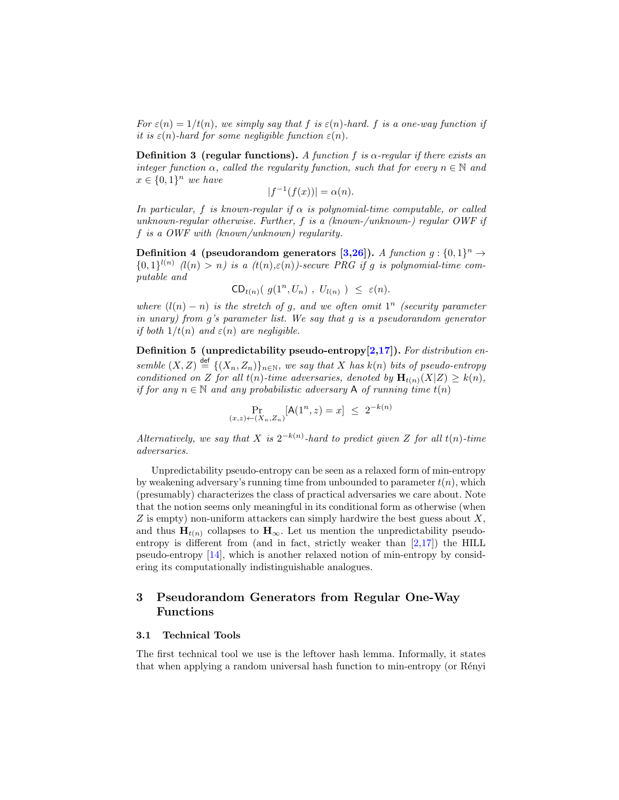For  $\varepsilon(n) = 1/t(n)$ , we simply say that f is  $\varepsilon(n)$ -hard. f is a one-way function if it is  $\varepsilon(n)$ -hard for some negligible function  $\varepsilon(n)$ .

**Definition 3** (regular functions). A function f is  $\alpha$ -regular if there exists an integer function  $\alpha$ , called the regularity function, such that for every  $n \in \mathbb{N}$  and  $x \in \{0,1\}^n$  we have

$$
|f^{-1}(f(x))| = \alpha(n).
$$

In particular, f is known-regular if  $\alpha$  is polynomial-time computable, or called unknown-regular otherwise. Further, f is a (known-/unknown-) regular  $OWF$  if f is a OWF with (known/unknown) regularity.

Definition 4 (pseudorandom generators [\[3](#page-17-4)[,26\]](#page-18-1)). A function  $g: \{0,1\}^n \to$  ${0,1\}^{l(n)}$   $(l(n) > n)$  is a  $(t(n), \varepsilon(n))$ -secure PRG if g is polynomial-time computable and

$$
\mathsf{CD}_{t(n)}\big(\; g(1^n, U_n)\;,\; U_{l(n)}\; \big)\; \leq\; \varepsilon(n).
$$

where  $(l(n) - n)$  is the stretch of g, and we often omit  $1^n$  (security parameter in unary) from  $q$ 's parameter list. We say that  $q$  is a pseudorandom generator if both  $1/t(n)$  and  $\varepsilon(n)$  are negligible.

Definition 5 (unpredictability pseudo-entropy $[2,17]$  $[2,17]$ ). For distribution ensemble  $(X, Z) \stackrel{\text{def}}{=} \{ (X_n, Z_n) \}_{n \in \mathbb{N}}$ , we say that X has  $k(n)$  bits of pseudo-entropy conditioned on Z for all  $t(n)$ -time adversaries, denoted by  $\mathbf{H}_{t(n)}(X|Z) \geq k(n)$ , if for any  $n \in \mathbb{N}$  and any probabilistic adversary A of running time  $t(n)$ 

$$
\Pr_{(x,z)\leftarrow (X_n,Z_n)}[\mathsf{A}(1^n,z) = x] \le 2^{-k(n)}
$$

Alternatively, we say that X is  $2^{-k(n)}$ -hard to predict given Z for all  $t(n)$ -time adversaries.

Unpredictability pseudo-entropy can be seen as a relaxed form of min-entropy by weakening adversary's running time from unbounded to parameter  $t(n)$ , which (presumably) characterizes the class of practical adversaries we care about. Note that the notion seems only meaningful in its conditional form as otherwise (when  $Z$  is empty) non-uniform attackers can simply hardwire the best guess about  $X$ , and thus  $H_{t(n)}$  collapses to  $H_{\infty}$ . Let us mention the unpredictability pseudoentropy is different from (and in fact, strictly weaker than [\[2,](#page-16-0)[17\]](#page-17-13)) the HILL pseudo-entropy [\[14\]](#page-17-0), which is another relaxed notion of min-entropy by considering its computationally indistinguishable analogues.

## 3 Pseudorandom Generators from Regular One-Way Functions

#### 3.1 Technical Tools

The first technical tool we use is the leftover hash lemma. Informally, it states that when applying a random universal hash function to min-entropy (or Rényi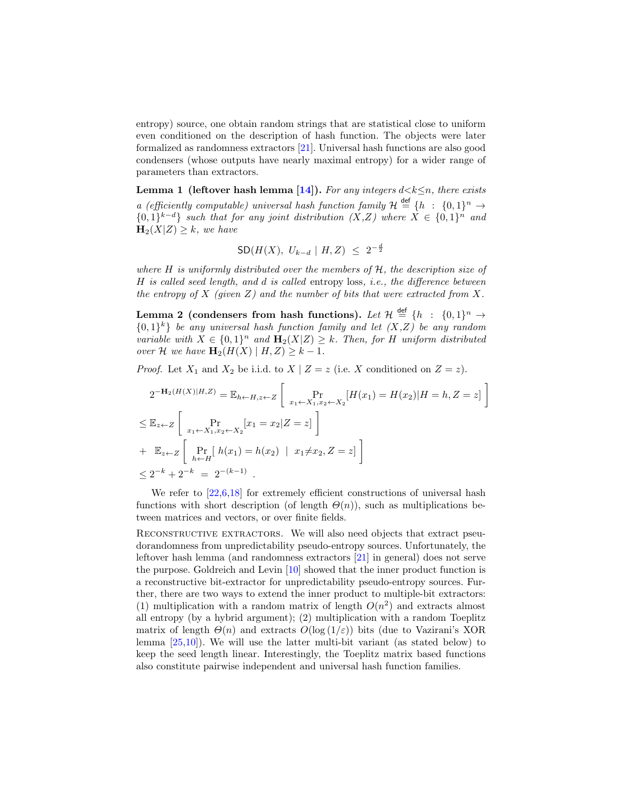entropy) source, one obtain random strings that are statistical close to uniform even conditioned on the description of hash function. The objects were later formalized as randomness extractors [\[21\]](#page-17-14). Universal hash functions are also good condensers (whose outputs have nearly maximal entropy) for a wider range of parameters than extractors.

Lemma 1 (leftover hash lemma [\[14\]](#page-17-0)). For any integers  $d \le k \le n$ , there exists a (efficiently computable) universal hash function family  $\mathcal{H} \stackrel{\text{def}}{=} \{h : \{0,1\}^n \to$  ${0,1}^{k-d}$  such that for any joint distribution  $(X,Z)$  where  $X \in \{0,1\}^n$  and  $\mathbf{H}_2(X|Z) \geq k$ , we have

$$
SD(H(X), U_{k-d} | H, Z) \leq 2^{-\frac{d}{2}}
$$

where  $H$  is uniformly distributed over the members of  $H$ , the description size of H is called seed length, and d is called entropy loss, i.e., the difference between the entropy of X (given Z) and the number of bits that were extracted from X.

Lemma 2 (condensers from hash functions). Let  $\mathcal{H} \, \stackrel{\mathsf{def}}{=} \, \{h \; : \; \{0,1\}^n \to$  ${0,1}^k$  be any universal hash function family and let  $(X,Z)$  be any random variable with  $X \in \{0,1\}^n$  and  $\mathbf{H}_2(X|Z) \geq k$ . Then, for H uniform distributed over H we have  $\mathbf{H}_2(H(X) | H, Z) \geq k - 1$ .

*Proof.* Let  $X_1$  and  $X_2$  be i.i.d. to  $X \mid Z = z$  (i.e. X conditioned on  $Z = z$ ).

$$
2^{-\mathbf{H}_2(H(X)|H,Z)} = \mathbb{E}_{h \leftarrow H, z \leftarrow Z} \left[ \Pr_{x_1 \leftarrow X_1, x_2 \leftarrow X_2} [H(x_1) = H(x_2)|H = h, Z = z] \right] \right]
$$
  
\n
$$
\leq \mathbb{E}_{z \leftarrow Z} \left[ \Pr_{x_1 \leftarrow X_1, x_2 \leftarrow X_2} [x_1 = x_2 | Z = z] \right] \right]
$$
  
\n+  $\mathbb{E}_{z \leftarrow Z} \left[ \Pr_{h \leftarrow H} [h(x_1) = h(x_2) \mid x_1 \neq x_2, Z = z] \right] \right]$   
\n
$$
\leq 2^{-k} + 2^{-k} = 2^{-(k-1)}.
$$

We refer to  $[22.6,18]$  $[22.6,18]$  $[22.6,18]$  for extremely efficient constructions of universal hash functions with short description (of length  $\Theta(n)$ ), such as multiplications between matrices and vectors, or over finite fields.

RECONSTRUCTIVE EXTRACTORS. We will also need objects that extract pseudorandomness from unpredictability pseudo-entropy sources. Unfortunately, the leftover hash lemma (and randomness extractors [\[21\]](#page-17-14) in general) does not serve the purpose. Goldreich and Levin [\[10\]](#page-17-5) showed that the inner product function is a reconstructive bit-extractor for unpredictability pseudo-entropy sources. Further, there are two ways to extend the inner product to multiple-bit extractors: (1) multiplication with a random matrix of length  $O(n^2)$  and extracts almost all entropy (by a hybrid argument); (2) multiplication with a random Toeplitz matrix of length  $\Theta(n)$  and extracts  $O(\log(1/\varepsilon))$  bits (due to Vazirani's XOR lemma [\[25,](#page-18-3)[10\]](#page-17-5)). We will use the latter multi-bit variant (as stated below) to keep the seed length linear. Interestingly, the Toeplitz matrix based functions also constitute pairwise independent and universal hash function families.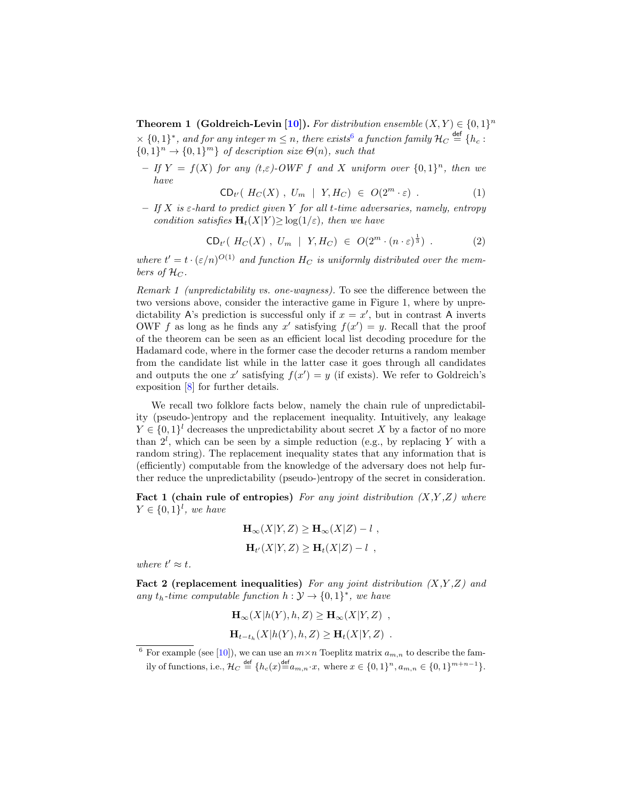**Theorem 1 (Goldreich-Levin [\[10\]](#page-17-5)).** For distribution ensemble  $(X, Y) \in \{0, 1\}^n$  $\times$  {0,1}<sup>\*</sup>, and for any integer  $m \leq n$ , there exists<sup>[6](#page-8-0)</sup> a function family  $\mathcal{H}_C \stackrel{\mathsf{def}}{=} \{h_c :$  $\{0,1\}^n \rightarrow \{0,1\}^m$  of description size  $\Theta(n)$ , such that

- If  $Y = f(X)$  for any  $(t,\varepsilon)$ -OWF f and X uniform over  $\{0,1\}^n$ , then we have

$$
CD_{t'}(H_C(X), U_m \mid Y, H_C) \in O(2^m \cdot \varepsilon) . \tag{1}
$$

 $-$  If X is  $\varepsilon$ -hard to predict given Y for all t-time adversaries, namely, entropy condition satisfies  $H_t(X|Y) \geq \log(1/\varepsilon)$ , then we have

$$
\mathsf{CD}_{t'}(\;H_C(X)\;,\;U_m\;|\;Y,H_C)\;\in\;O(2^m\cdot(n\cdot\varepsilon)^{\frac{1}{3}})\;.\tag{2}
$$

where  $t' = t \cdot (\varepsilon/n)^{O(1)}$  and function  $H_C$  is uniformly distributed over the members of  $\mathcal{H}_C$ .

Remark 1 (unpredictability vs. one-wayness). To see the difference between the two versions above, consider the interactive game in Figure 1, where by unpredictability A's prediction is successful only if  $x = x'$ , but in contrast A inverts OWF f as long as he finds any x' satisfying  $f(x') = y$ . Recall that the proof of the theorem can be seen as an efficient local list decoding procedure for the Hadamard code, where in the former case the decoder returns a random member from the candidate list while in the latter case it goes through all candidates and outputs the one x' satisfying  $f(x') = y$  (if exists). We refer to Goldreich's exposition [\[8\]](#page-17-17) for further details.

We recall two folklore facts below, namely the chain rule of unpredictability (pseudo-)entropy and the replacement inequality. Intuitively, any leakage  $Y \in \{0,1\}^l$  decreases the unpredictability about secret X by a factor of no more than  $2^l$ , which can be seen by a simple reduction (e.g., by replacing Y with a random string). The replacement inequality states that any information that is (efficiently) computable from the knowledge of the adversary does not help further reduce the unpredictability (pseudo-)entropy of the secret in consideration.

**Fact 1 (chain rule of entropies)** For any joint distribution  $(X,Y,Z)$  where  $Y \in \{0,1\}^l$ , we have

$$
\mathbf{H}_{\infty}(X|Y,Z) \ge \mathbf{H}_{\infty}(X|Z) - l ,
$$
  
\n
$$
\mathbf{H}_{t'}(X|Y,Z) \ge \mathbf{H}_{t}(X|Z) - l ,
$$

where  $t' \approx t$ .

Fact 2 (replacement inequalities) For any joint distribution  $(X, Y, Z)$  and any  $t_h$ -time computable function  $h: \mathcal{Y} \to \{0,1\}^*$ , we have

$$
\mathbf{H}_{\infty}(X|h(Y), h, Z) \ge \mathbf{H}_{\infty}(X|Y, Z) ,
$$
  

$$
\mathbf{H}_{t-t_h}(X|h(Y), h, Z) \ge \mathbf{H}_t(X|Y, Z) .
$$

<span id="page-8-0"></span><sup>&</sup>lt;sup>6</sup> For example (see [\[10\]](#page-17-5)), we can use an  $m \times n$  Toeplitz matrix  $a_{m,n}$  to describe the family of functions, i.e.,  $\mathcal{H}_C \stackrel{\text{def}}{=} \{h_c(x) \stackrel{\text{def}}{=} a_{m,n} \cdot x, \text{ where } x \in \{0,1\}^n, a_{m,n} \in \{0,1\}^{m+n-1}\}.$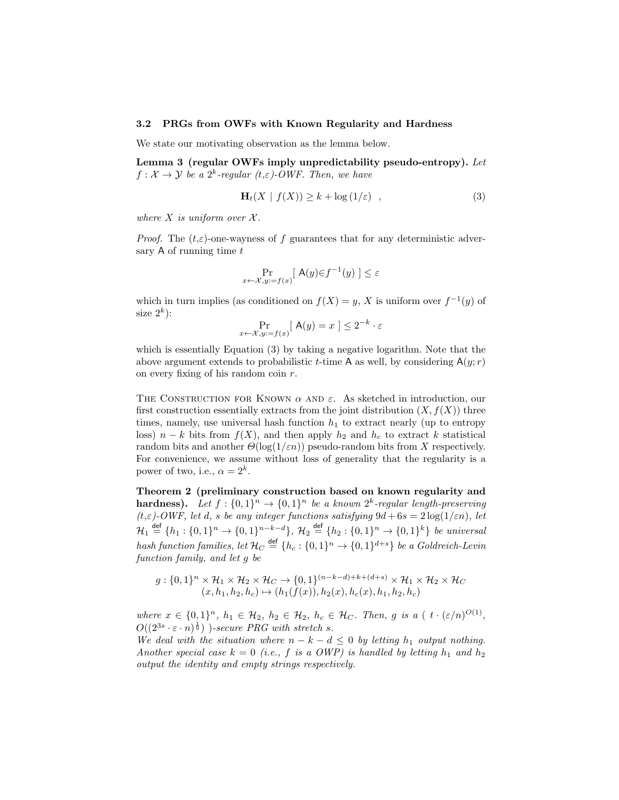#### 3.2 PRGs from OWFs with Known Regularity and Hardness

We state our motivating observation as the lemma below.

Lemma 3 (regular OWFs imply unpredictability pseudo-entropy). Let  $f: \mathcal{X} \to \mathcal{Y}$  be a  $2^k$ -regular  $(t, \varepsilon)$ -OWF. Then, we have

$$
\mathbf{H}_t(X \mid f(X)) \ge k + \log(1/\varepsilon) \quad , \tag{3}
$$

where  $X$  is uniform over  $\mathcal{X}$ .

*Proof.* The  $(t,\varepsilon)$ -one-wayness of f guarantees that for any deterministic adversary  $A$  of running time  $t$ 

$$
\Pr_{x \leftarrow \mathcal{X}, y := f(x)}[ \mathbf{A}(y) \in f^{-1}(y) ] \le \varepsilon
$$

which in turn implies (as conditioned on  $f(X) = y$ , X is uniform over  $f^{-1}(y)$  of size  $2^k$ :

$$
\Pr_{x \leftarrow \mathcal{X}, y := f(x)} [ \mathbf{A}(y) = x ] \le 2^{-k} \cdot \varepsilon
$$

which is essentially Equation (3) by taking a negative logarithm. Note that the above argument extends to probabilistic t-time A as well, by considering  $A(y; r)$ on every fixing of his random coin r.

THE CONSTRUCTION FOR KNOWN  $\alpha$  AND  $\varepsilon$ . As sketched in introduction, our first construction essentially extracts from the joint distribution  $(X, f(X))$  three times, namely, use universal hash function  $h_1$  to extract nearly (up to entropy loss)  $n - k$  bits from  $f(X)$ , and then apply  $h_2$  and  $h_c$  to extract k statistical random bits and another  $\Theta(\log(1/\varepsilon n))$  pseudo-random bits from X respectively. For convenience, we assume without loss of generality that the regularity is a power of two, i.e.,  $\alpha = 2^k$ .

Theorem 2 (preliminary construction based on known regularity and **hardness).** Let  $f : \{0,1\}^n \to \{0,1\}^n$  be a known  $2^k$ -regular length-preserving  $(t,\varepsilon)$ -OWF, let d, s be any integer functions satisfying  $9d + 6s = 2\log(1/\varepsilon n)$ , let  $\mathcal{H}_1 \stackrel{\text{def}}{=} \{h_1: \{0,1\}^n \to \{0,1\}^{n-k-d}\}, \ \mathcal{H}_2 \stackrel{\text{def}}{=} \{h_2: \{0,1\}^n \to \{0,1\}^k\} \ \text{be universal}$ hash function families, let  $\mathcal{H}_C \stackrel{\mathsf{def}}{=} \{h_c: \{0,1\}^n \to \{0,1\}^{d+s}\}$  be a Goldreich-Levin function family, and let g be

$$
g: \{0,1\}^n \times \mathcal{H}_1 \times \mathcal{H}_2 \times \mathcal{H}_C \rightarrow \{0,1\}^{(n-k-d)+k+(d+s)} \times \mathcal{H}_1 \times \mathcal{H}_2 \times \mathcal{H}_C
$$
  

$$
(x,h_1,h_2,h_c) \rightarrow (h_1(f(x)),h_2(x),h_c(x),h_1,h_2,h_c)
$$

where  $x \in \{0,1\}^n$ ,  $h_1 \in \mathcal{H}_2$ ,  $h_2 \in \mathcal{H}_2$ ,  $h_c \in \mathcal{H}_C$ . Then, g is a ( $t \cdot (\varepsilon/n)^{O(1)}$ ,  $O((2^{3s} \cdot \varepsilon \cdot n)^{\frac{1}{9}})$  )-secure PRG with stretch s.

We deal with the situation where  $n - k - d \leq 0$  by letting  $h_1$  output nothing. Another special case  $k = 0$  (i.e., f is a OWP) is handled by letting  $h_1$  and  $h_2$ output the identity and empty strings respectively.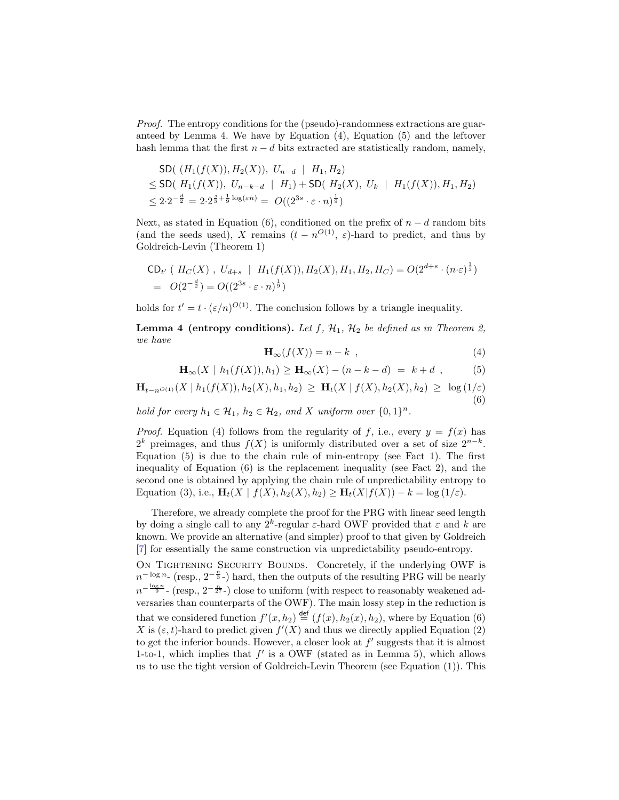Proof. The entropy conditions for the (pseudo)-randomness extractions are guaranteed by Lemma 4. We have by Equation  $(4)$ , Equation  $(5)$  and the leftover hash lemma that the first  $n - d$  bits extracted are statistically random, namely,

$$
\begin{aligned} \text{SD}(& (H_1(f(X)), H_2(X)), \ U_{n-d} \mid H_1, H_2) \\ &\leq \text{SD}(H_1(f(X)), \ U_{n-k-d} \mid H_1) + \text{SD}(H_2(X), \ U_k \mid H_1(f(X)), H_1, H_2) \\ &\leq 2 \cdot 2^{-\frac{d}{2}} = 2 \cdot 2^{\frac{d}{3} + \frac{1}{9} \log(\varepsilon n)} = O((2^{3s} \cdot \varepsilon \cdot n)^{\frac{1}{9}}) \end{aligned}
$$

Next, as stated in Equation (6), conditioned on the prefix of  $n - d$  random bits (and the seeds used), X remains  $(t - n^{O(1)}, \varepsilon)$ -hard to predict, and thus by Goldreich-Levin (Theorem 1)

$$
\begin{aligned} &\mathsf{CD}_{t'} \ (\ H_C(X) \ , \ U_{d+s} \ \ | \ \ H_1(f(X)), H_2(X), H_1, H_2, H_C) = O(2^{d+s} \cdot (n \cdot \varepsilon)^{\frac{1}{3}}) \\ &= \ O(2^{-\frac{d}{2}}) = O((2^{3s} \cdot \varepsilon \cdot n)^{\frac{1}{9}}) \end{aligned}
$$

holds for  $t' = t \cdot (\varepsilon/n)^{O(1)}$ . The conclusion follows by a triangle inequality.

**Lemma 4 (entropy conditions).** Let  $f$ ,  $H_1$ ,  $H_2$  be defined as in Theorem 2, we have

$$
\mathbf{H}_{\infty}(f(X)) = n - k \quad , \tag{4}
$$

$$
\mathbf{H}_{\infty}(X \mid h_1(f(X)), h_1) \ge \mathbf{H}_{\infty}(X) - (n - k - d) = k + d \tag{5}
$$

 $H_{t-n^{O(1)}}(X \mid h_1(f(X)), h_2(X), h_1, h_2) \geq H_t(X \mid f(X), h_2(X), h_2) \geq \log(1/\varepsilon)$ (6)

hold for every  $h_1 \in \mathcal{H}_1$ ,  $h_2 \in \mathcal{H}_2$ , and X uniform over  $\{0,1\}^n$ .

*Proof.* Equation (4) follows from the regularity of f, i.e., every  $y = f(x)$  has  $2^k$  preimages, and thus  $f(X)$  is uniformly distributed over a set of size  $2^{n-k}$ . Equation  $(5)$  is due to the chain rule of min-entropy (see Fact 1). The first inequality of Equation (6) is the replacement inequality (see Fact 2), and the second one is obtained by applying the chain rule of unpredictability entropy to Equation (3), i.e.,  $\mathbf{H}_t(X \mid f(X), h_2(X), h_2) \geq \mathbf{H}_t(X \mid f(X)) - k = \log(1/\varepsilon)$ .

Therefore, we already complete the proof for the PRG with linear seed length by doing a single call to any  $2^k$ -regular  $\varepsilon$ -hard OWF provided that  $\varepsilon$  and  $k$  are known. We provide an alternative (and simpler) proof to that given by Goldreich [\[7\]](#page-17-8) for essentially the same construction via unpredictability pseudo-entropy.

ON TIGHTENING SECURITY BOUNDS. Concretely, if the underlying OWF is  $n^{-\log n}$ - (resp.,  $2^{-\frac{n}{3}}$ -) hard, then the outputs of the resulting PRG will be nearly  $n^{-\frac{\log n}{9}}$ - (resp.,  $2^{-\frac{n}{27}}$ -) close to uniform (with respect to reasonably weakened adversaries than counterparts of the OWF). The main lossy step in the reduction is that we considered function  $f'(x, h_2) \stackrel{\text{def}}{=} (f(x), h_2(x), h_2)$ , where by Equation (6) X is  $(\varepsilon, t)$ -hard to predict given  $f'(X)$  and thus we directly applied Equation (2) to get the inferior bounds. However, a closer look at  $f'$  suggests that it is almost 1-to-1, which implies that  $f'$  is a OWF (stated as in Lemma 5), which allows us to use the tight version of Goldreich-Levin Theorem (see Equation (1)). This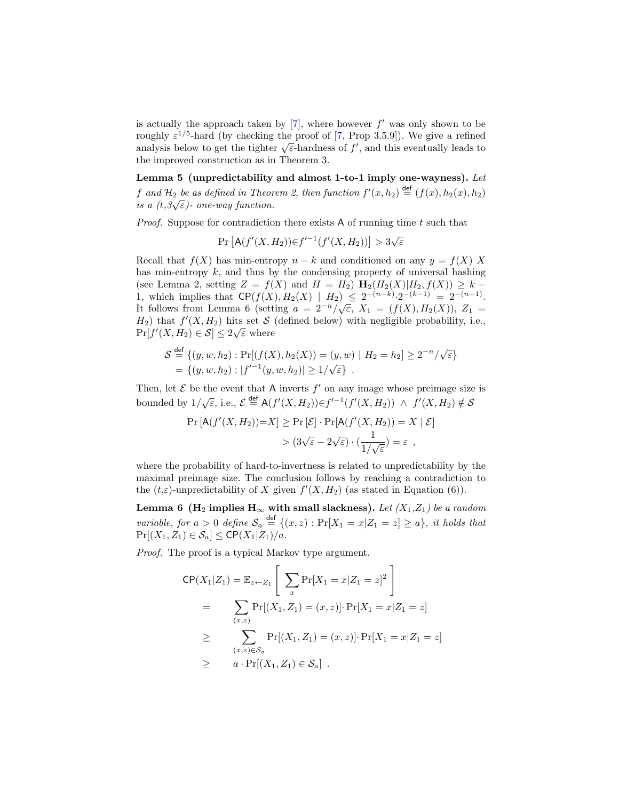is actually the approach taken by  $[7]$ , where however  $f'$  was only shown to be roughly  $\varepsilon^{1/5}$ -hard (by checking the proof of [\[7,](#page-17-8) Prop 3.5.9]). We give a refined roughly  $\varepsilon$  / - hard (by checking the proof of [*i*, r iop 3.9.9]). We give a refined<br>analysis below to get the tighter  $\sqrt{\varepsilon}$ -hardness of f', and this eventually leads to the improved construction as in Theorem 3.

Lemma 5 (unpredictability and almost 1-to-1 imply one-wayness). Let f and  $\mathcal{H}_2$  be as defined in Theorem 2, then function  $f'(x,h_2) \stackrel{\text{def}}{=} (f(x),h_2(x),h_2)$  $j$  and  $\pi_2$  ve as aefined in Theor<br>is a (t,3√ $\varepsilon$ )- one-way function.

*Proof.* Suppose for contradiction there exists A of running time  $t$  such that

$$
\Pr\left[\mathsf{A}(f'(X,H_2))\in f'^{-1}(f'(X,H_2))\right] > 3\sqrt{\varepsilon}
$$

Recall that  $f(X)$  has min-entropy  $n - k$  and conditioned on any  $y = f(X) X$ has min-entropy  $k$ , and thus by the condensing property of universal hashing (see Lemma 2, setting  $Z = f(X)$  and  $H = H_2$ )  $\mathbf{H}_2(H_2(X)|H_2, f(X)) \geq k -$ 1, which implies that  $\mathsf{CP}(f(X), H_2(X) \mid H_2) \leq 2^{-(n-k)} \cdot 2^{-(k-1)} = 2^{-(n-1)}$ . 1, which implies that  $C_r(f(X), H_2(X) | H_2) \leq 2 \leq 2 \leq 2$ <br>It follows from Lemma 6 (setting  $a = 2^{-n}/\sqrt{\epsilon}$ ,  $X_1 = (f(X), H_2(X))$ ,  $Z_1 =$  $H_2$ ) that  $f'(X, H_2)$  hits set S (defined below) with negligible probability, i.e.,  $Pr[f'(X, H_2) \in S] \leq 2\sqrt{\varepsilon}$  where

$$
S \stackrel{\text{def}}{=} \{ (y, w, h_2) : \Pr[(f(X), h_2(X)) = (y, w) \mid H_2 = h_2] \ge 2^{-n} / \sqrt{\varepsilon} \}
$$
  
= 
$$
\{ (y, w, h_2) : |f'^{-1}(y, w, h_2)| \ge 1 / \sqrt{\varepsilon} \}.
$$

Then, let  $\mathcal E$  be the event that A inverts  $f'$  on any image whose preimage size is bounded by  $1/\sqrt{\varepsilon}$ , i.e.,  $\mathcal{E} \stackrel{\text{def}}{=} A(f'(X, H_2)) \in f'^{-1}(f'(X, H_2)) \ \wedge \ f'(X, H_2) \notin \mathcal{S}$ 

$$
\Pr\left[\mathsf{A}(f'(X,H_2))=X\right] \ge \Pr\left[\mathcal{E}\right] \cdot \Pr\left[\mathsf{A}(f'(X,H_2))=X \mid \mathcal{E}\right] \\
> \left(3\sqrt{\varepsilon} - 2\sqrt{\varepsilon}\right) \cdot \left(\frac{1}{1/\sqrt{\varepsilon}}\right) = \varepsilon,
$$

where the probability of hard-to-invertness is related to unpredictability by the maximal preimage size. The conclusion follows by reaching a contradiction to the  $(t,\varepsilon)$ -unpredictability of X given  $f'(X,H_2)$  (as stated in Equation (6)).

Lemma 6 (H<sub>2</sub> implies  $H_{\infty}$  with small slackness). Let  $(X_1, Z_1)$  be a random variable, for  $a > 0$  define  $S_a \stackrel{\text{def}}{=} \{(x, z) : Pr[X_1 = x | Z_1 = z] \ge a\}$ , it holds that  $Pr[(X_1, Z_1) \in S_a] \leq CP(X_1|Z_1)/a$ .

Proof. The proof is a typical Markov type argument.

$$
CP(X_1|Z_1) = \mathbb{E}_{z \leftarrow Z_1} \left[ \sum_x \Pr[X_1 = x | Z_1 = z]^2 \right]
$$
  
= 
$$
\sum_{(x,z)} \Pr[(X_1, Z_1) = (x, z)] \cdot \Pr[X_1 = x | Z_1 = z]
$$
  

$$
\geq \sum_{(x,z) \in S_a} \Pr[(X_1, Z_1) = (x, z)] \cdot \Pr[X_1 = x | Z_1 = z]
$$
  

$$
\geq a \cdot \Pr[(X_1, Z_1) \in S_a].
$$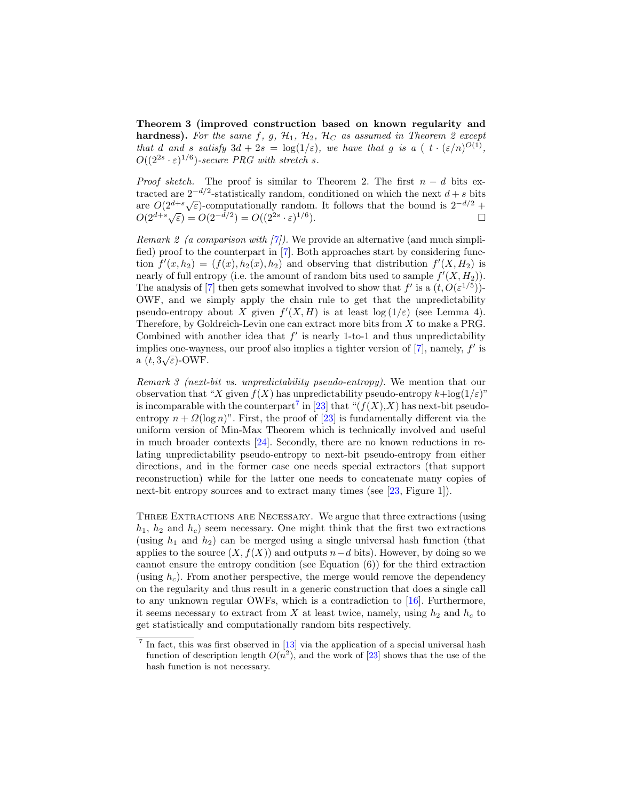Theorem 3 (improved construction based on known regularity and **hardness).** For the same f, g,  $\mathcal{H}_1$ ,  $\mathcal{H}_2$ ,  $\mathcal{H}_C$  as assumed in Theorem 2 except that d and s satisfy  $3d + 2s = \log(1/\varepsilon)$ , we have that g is a (  $t \cdot (\varepsilon/n)^{O(1)}$ ,  $O((2^{2s} \cdot \varepsilon)^{1/6})$ -secure PRG with stretch s.

*Proof sketch.* The proof is similar to Theorem 2. The first  $n - d$  bits extracted are  $2^{-d/2}$ -statistically random, conditioned on which the next  $d + s$  bits Fracted are 2  $\rightarrow$  -statistically random, conditioned on which the heat  $a + s$  bits<br>are  $O(2^{d+s}\sqrt{\varepsilon})$ -computationally random. It follows that the bound is  $2^{-d/2} +$ <br> $O(2^{d+s}\sqrt{\varepsilon}) = O(2^{-d/2}) = O((2^{2s} \cdot \varepsilon)^{1/6})$ .

Remark 2 (a comparison with  $[7]$ ). We provide an alternative (and much simplified) proof to the counterpart in [\[7\]](#page-17-8). Both approaches start by considering function  $f'(x, h_2) = (f(x), h_2(x), h_2)$  and observing that distribution  $f'(X, H_2)$  is nearly of full entropy (i.e. the amount of random bits used to sample  $f'(X, H_2)$ ). The analysis of [\[7\]](#page-17-8) then gets somewhat involved to show that  $f'$  is a  $(t, O(\varepsilon^{1/5}))$ -OWF, and we simply apply the chain rule to get that the unpredictability pseudo-entropy about X given  $f'(X, H)$  is at least  $log(1/\varepsilon)$  (see Lemma 4). Therefore, by Goldreich-Levin one can extract more bits from X to make a PRG. Combined with another idea that  $f'$  is nearly 1-to-1 and thus unpredictability implies one-wayness, our proof also implies a tighter version of  $[7]$ , namely,  $f'$  is miplies one-way is<br>a  $(t, 3\sqrt{\varepsilon})$ -OWF.

Remark 3 (next-bit vs. unpredictability pseudo-entropy). We mention that our observation that "X given  $f(X)$  has unpredictability pseudo-entropy  $k + \log(1/\varepsilon)$ " is incomparable with the counterpart<sup>[7](#page-12-0)</sup> in [\[23\]](#page-18-0) that " $(f(X),X)$  has next-bit pseudoentropy  $n + \Omega(\log n)$ ". First, the proof of [\[23\]](#page-18-0) is fundamentally different via the uniform version of Min-Max Theorem which is technically involved and useful in much broader contexts [\[24\]](#page-18-4). Secondly, there are no known reductions in relating unpredictability pseudo-entropy to next-bit pseudo-entropy from either directions, and in the former case one needs special extractors (that support reconstruction) while for the latter one needs to concatenate many copies of next-bit entropy sources and to extract many times (see [\[23,](#page-18-0) Figure 1]).

Three Extractions are Necessary. We argue that three extractions (using  $h_1$ ,  $h_2$  and  $h_c$ ) seem necessary. One might think that the first two extractions (using  $h_1$  and  $h_2$ ) can be merged using a single universal hash function (that applies to the source  $(X, f(X))$  and outputs  $n-d$  bits). However, by doing so we cannot ensure the entropy condition (see Equation (6)) for the third extraction (using  $h_c$ ). From another perspective, the merge would remove the dependency on the regularity and thus result in a generic construction that does a single call to any unknown regular OWFs, which is a contradiction to [\[16\]](#page-17-3). Furthermore, it seems necessary to extract from X at least twice, namely, using  $h_2$  and  $h_c$  to get statistically and computationally random bits respectively.

<span id="page-12-0"></span> $<sup>7</sup>$  In fact, this was first observed in [\[13\]](#page-17-2) via the application of a special universal hash</sup> function of description length  $O(n^2)$ , and the work of [\[23\]](#page-18-0) shows that the use of the hash function is not necessary.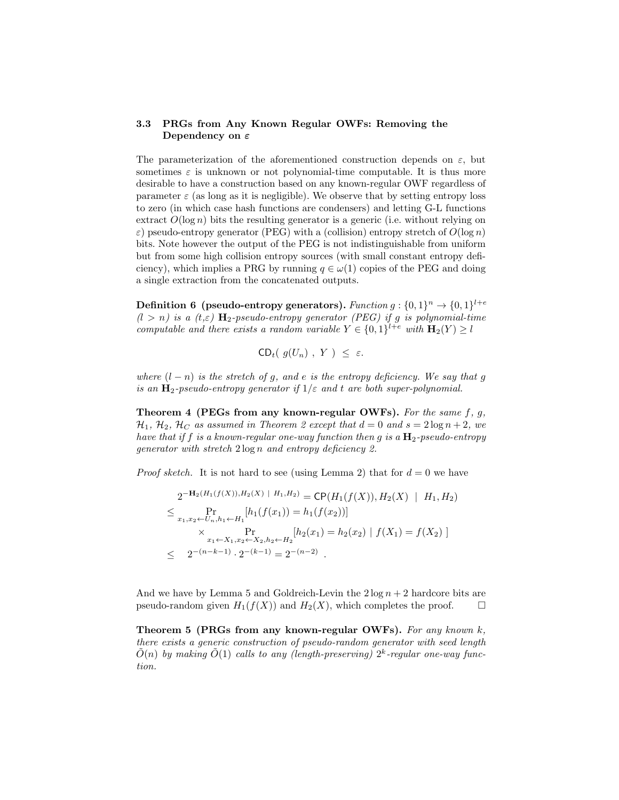### 3.3 PRGs from Any Known Regular OWFs: Removing the Dependency on ε

The parameterization of the aforementioned construction depends on  $\varepsilon$ , but sometimes  $\varepsilon$  is unknown or not polynomial-time computable. It is thus more desirable to have a construction based on any known-regular OWF regardless of parameter  $\varepsilon$  (as long as it is negligible). We observe that by setting entropy loss to zero (in which case hash functions are condensers) and letting G-L functions extract  $O(\log n)$  bits the resulting generator is a generic (i.e. without relying on  $\varepsilon$ ) pseudo-entropy generator (PEG) with a (collision) entropy stretch of  $O(\log n)$ bits. Note however the output of the PEG is not indistinguishable from uniform but from some high collision entropy sources (with small constant entropy deficiency), which implies a PRG by running  $q \in \omega(1)$  copies of the PEG and doing a single extraction from the concatenated outputs.

**Definition 6** (pseudo-entropy generators). Function  $g: \{0,1\}^n \rightarrow \{0,1\}^{l+e}$  $(l > n)$  is a  $(t, \varepsilon)$  H<sub>2</sub>-pseudo-entropy generator (PEG) if g is polynomial-time computable and there exists a random variable  $Y \in \{0,1\}^{l+e}$  with  $\mathbf{H}_2(Y) \geq l$ 

$$
\mathsf{CD}_{t}(g(U_n), Y) \leq \varepsilon.
$$

where  $(l - n)$  is the stretch of g, and e is the entropy deficiency. We say that g is an  $H_2$ -pseudo-entropy generator if  $1/\varepsilon$  and t are both super-polynomial.

Theorem 4 (PEGs from any known-regular OWFs). For the same  $f, g$ ,  $\mathcal{H}_1$ ,  $\mathcal{H}_2$ ,  $\mathcal{H}_C$  as assumed in Theorem 2 except that  $d = 0$  and  $s = 2 \log n + 2$ , we have that if f is a known-regular one-way function then g is a  $\mathbf{H}_2$ -pseudo-entropy generator with stretch 2 log n and entropy deficiency 2.

*Proof sketch.* It is not hard to see (using Lemma 2) that for  $d = 0$  we have

$$
2^{-\mathbf{H}_2(H_1(f(X)),H_2(X) + H_1,H_2)} = \mathbf{CP}(H_1(f(X)),H_2(X) + H_1,H_2)
$$
  
\n
$$
\leq \Pr_{x_1,x_2 \leftarrow U_n, h_1 \leftarrow H_1} [h_1(f(x_1)) = h_1(f(x_2))]
$$
  
\n
$$
\times \Pr_{x_1 \leftarrow X_1, x_2 \leftarrow X_2, h_2 \leftarrow H_2} [h_2(x_1) = h_2(x_2) | f(X_1) = f(X_2)]
$$
  
\n
$$
\leq 2^{-(n-k-1)} \cdot 2^{-(k-1)} = 2^{-(n-2)}.
$$

And we have by Lemma 5 and Goldreich-Levin the  $2 \log n + 2$  hardcore bits are pseudo-random given  $H_1(f(X))$  and  $H_2(X)$ , which completes the proof.  $\square$ 

Theorem 5 (PRGs from any known-regular OWFs). For any known  $k$ , there exists a generic construction of pseudo-random generator with seed length  $\tilde{O}(n)$  by making  $\tilde{O}(1)$  calls to any (length-preserving)  $2^k$ -regular one-way function.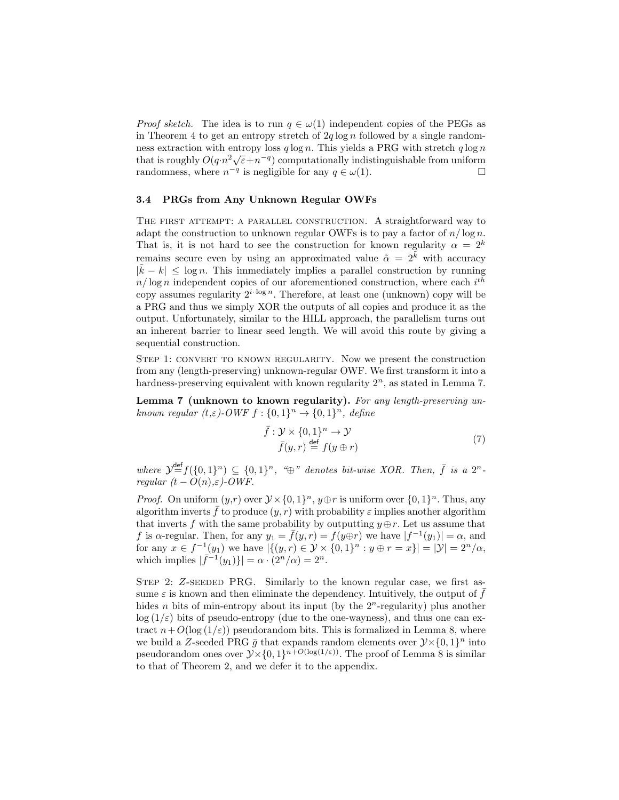*Proof sketch.* The idea is to run  $q \in \omega(1)$  independent copies of the PEGs as in Theorem 4 to get an entropy stretch of  $2q \log n$  followed by a single randomness extraction with entropy loss  $q \log n$ . This yields a PRG with stretch  $q \log n$ that is roughly  $O(q \cdot n^2 \sqrt{\epsilon} + n^{-q})$  computationally indistinguishable from uniform randomness, where  $n^{-q}$  is negligible for any  $q \in \omega(1)$ .

#### 3.4 PRGs from Any Unknown Regular OWFs

THE FIRST ATTEMPT: A PARALLEL CONSTRUCTION. A straightforward way to adapt the construction to unknown regular OWFs is to pay a factor of  $n/\log n$ . That is, it is not hard to see the construction for known regularity  $\alpha = 2^k$ remains secure even by using an approximated value  $\tilde{\alpha} = 2^{\tilde{k}}$  with accuracy  $|\tilde{k} - k| \leq \log n$ . This immediately implies a parallel construction by running  $n/\log n$  independent copies of our aforementioned construction, where each  $i^{th}$ copy assumes regularity  $2^{i \cdot \log n}$ . Therefore, at least one (unknown) copy will be a PRG and thus we simply XOR the outputs of all copies and produce it as the output. Unfortunately, similar to the HILL approach, the parallelism turns out an inherent barrier to linear seed length. We will avoid this route by giving a sequential construction.

STEP 1: CONVERT TO KNOWN REGULARITY. Now we present the construction from any (length-preserving) unknown-regular OWF. We first transform it into a hardness-preserving equivalent with known regularity  $2<sup>n</sup>$ , as stated in Lemma 7.

Lemma 7 (unknown to known regularity). For any length-preserving unknown regular  $(t,\varepsilon)$ -OWF  $f: \{0,1\}^n \to \{0,1\}^n$ , define

$$
\bar{f}: \mathcal{Y} \times \{0, 1\}^n \to \mathcal{Y}
$$
\n
$$
\bar{f}(y, r) \stackrel{\text{def}}{=} f(y \oplus r)
$$
\n
$$
(7)
$$

where  $\mathcal{Y}^{\text{def}}=f(\{0,1\}^n) \subseteq \{0,1\}^n$ , " $\oplus$ " denotes bit-wise XOR. Then,  $\overline{f}$  is a  $2^n$ regular  $(t - O(n), \varepsilon)$ -OWF.

*Proof.* On uniform  $(y,r)$  over  $\mathcal{Y} \times \{0,1\}^n$ ,  $y \oplus r$  is uniform over  $\{0,1\}^n$ . Thus, any algorithm inverts  $\bar{f}$  to produce  $(y, r)$  with probability  $\varepsilon$  implies another algorithm that inverts f with the same probability by outputting  $y \oplus r$ . Let us assume that f is  $\alpha$ -regular. Then, for any  $y_1 = \bar{f}(y,r) = f(y \oplus r)$  we have  $|f^{-1}(y_1)| = \alpha$ , and for any  $x \in f^{-1}(y_1)$  we have  $|\{(y,r) \in \mathcal{Y} \times \{0,1\}^n : y \oplus r = x\}| = |\mathcal{Y}| = 2^n/\alpha$ , which implies  $|\bar{f}^{-1}(y_1)\}| = \alpha \cdot (2^n/\alpha) = 2^n$ .

STEP 2: Z-SEEDED PRG. Similarly to the known regular case, we first assume  $\varepsilon$  is known and then eliminate the dependency. Intuitively, the output of  $\bar{f}$ hides *n* bits of min-entropy about its input (by the  $2<sup>n</sup>$ -regularity) plus another  $\log(1/\varepsilon)$  bits of pseudo-entropy (due to the one-wayness), and thus one can extract  $n+O(\log(1/\varepsilon))$  pseudorandom bits. This is formalized in Lemma 8, where we build a Z-seeded PRG  $\bar{g}$  that expands random elements over  $\mathcal{Y} \times \{0,1\}^n$  into pseudorandom ones over  $\mathcal{Y}\times\{0,1\}^{n+O(\log(1/\varepsilon))}$ . The proof of Lemma 8 is similar to that of Theorem 2, and we defer it to the appendix.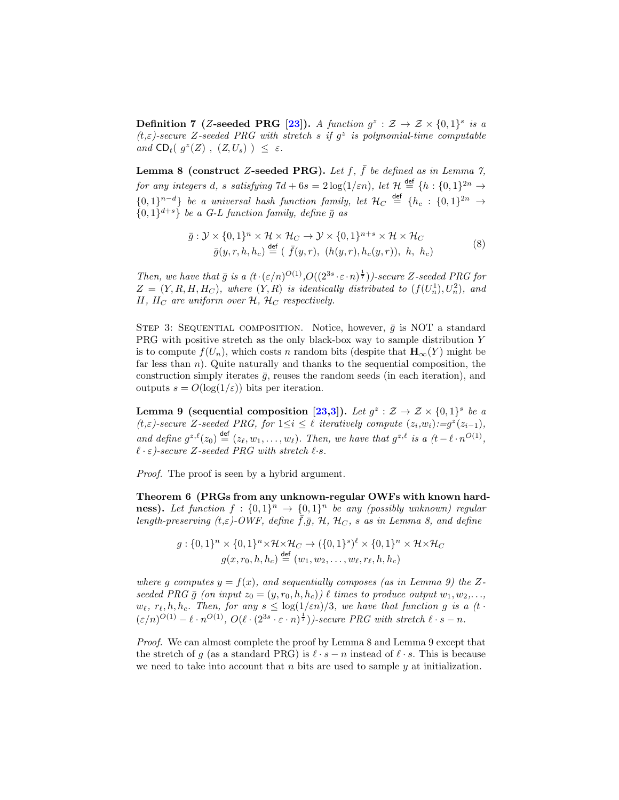**Definition 7** (Z-seeded PRG [\[23\]](#page-18-0)). A function  $g^z : \mathcal{Z} \to \mathcal{Z} \times \{0,1\}^s$  is a  $(t, \varepsilon)$ -secure Z-seeded PRG with stretch s if  $g^z$  is polynomial-time computable and  $CD_t$ ( $g^z(Z)$ ,  $(Z, U_s)$ )  $\leq \varepsilon$ .

**Lemma 8 (construct Z-seeded PRG).** Let f,  $\bar{f}$  be defined as in Lemma 7, for any integers d, s satisfying  $7d + 6s = 2\log(1/\varepsilon n)$ , let  $\mathcal{H} \stackrel{\text{def}}{=} \{h : \{0,1\}^{2n} \to$  $\{0,1\}^{n-d}\}$  be a universal hash function family, let  $\mathcal{H}_C \stackrel{\text{def}}{=} \{h_c : \{0,1\}^{2n} \to \}$  ${0,1}^{d+s}$  be a G-L function family, define  $\bar{g}$  as

$$
\bar{g}: \mathcal{Y} \times \{0,1\}^n \times \mathcal{H} \times \mathcal{H}_C \to \mathcal{Y} \times \{0,1\}^{n+s} \times \mathcal{H} \times \mathcal{H}_C
$$
\n
$$
\bar{g}(y,r,h,h_c) \stackrel{\text{def}}{=} (\bar{f}(y,r), (h(y,r), h_c(y,r)), h, h_c)
$$
\n(8)

Then, we have that  $\bar{g}$  is a  $(t \cdot (\varepsilon/n)^{O(1)}, O((2^{3s} \cdot \varepsilon \cdot n)^{\frac{1}{7}}))$ -secure Z-seeded PRG for  $Z = (Y, R, H, H_C)$ , where  $(Y, R)$  is identically distributed to  $(f(U_n^1), U_n^2)$ , and H,  $H_C$  are uniform over  $H$ ,  $H_C$  respectively.

STEP 3: SEQUENTIAL COMPOSITION. Notice, however,  $\bar{g}$  is NOT a standard PRG with positive stretch as the only black-box way to sample distribution Y is to compute  $f(U_n)$ , which costs n random bits (despite that  $\mathbf{H}_{\infty}(Y)$  might be far less than  $n$ ). Quite naturally and thanks to the sequential composition, the construction simply iterates  $\bar{g}$ , reuses the random seeds (in each iteration), and outputs  $s = O(\log(1/\varepsilon))$  bits per iteration.

**Lemma 9** (sequential composition [\[23,](#page-18-0)[3\]](#page-17-4)). Let  $g^z : \mathcal{Z} \to \mathcal{Z} \times \{0,1\}^s$  be a (t, $\varepsilon$ )-secure Z-seeded PRG, for  $1 \leq i \leq \ell$  iteratively compute  $(z_i, w_i) := g^z(z_{i-1}),$ and define  $g^{z,\ell}(z_0) \stackrel{\text{def}}{=} (z_\ell, w_1, \ldots, w_\ell)$ . Then, we have that  $g^{z,\ell}$  is a  $(t-\ell \cdot n^{O(1)},$  $\ell \cdot \varepsilon$ )-secure Z-seeded PRG with stretch  $\ell \cdot s$ .

Proof. The proof is seen by a hybrid argument.

Theorem 6 (PRGs from any unknown-regular OWFs with known hardness). Let function  $f: \{0,1\}^n \rightarrow \{0,1\}^n$  be any (possibly unknown) regular length-preserving  $(t,\varepsilon)$ -OWF, define  $f,\bar{g}$ ,  $H$ ,  $H_C$ , s as in Lemma 8, and define

$$
g: \{0,1\}^n \times \{0,1\}^n \times \mathcal{H} \times \mathcal{H}_C \to (\{0,1\}^s)^{\ell} \times \{0,1\}^n \times \mathcal{H} \times \mathcal{H}_C
$$
  

$$
g(x,r_0,h,h_c) \stackrel{\text{def}}{=} (w_1,w_2,\ldots,w_{\ell},r_{\ell},h,h_c)
$$

where g computes  $y = f(x)$ , and sequentially composes (as in Lemma 9) the Zseeded PRG  $\bar{g}$  (on input  $z_0 = (y, r_0, h, h_c)$ )  $\ell$  times to produce output  $w_1, w_2, \ldots$ ,  $w_{\ell}, r_{\ell}, h, h_c$ . Then, for any  $s \leq \log(1/\varepsilon n)/3$ , we have that function g is a (t.  $(\varepsilon/n)^{O(1)} - \ell \cdot n^{O(1)}$ ,  $O(\ell \cdot (2^{3s} \cdot \varepsilon \cdot n)^{\frac{1}{7}})$ )-secure PRG with stretch  $\ell \cdot s - n$ .

Proof. We can almost complete the proof by Lemma 8 and Lemma 9 except that the stretch of g (as a standard PRG) is  $\ell \cdot s - n$  instead of  $\ell \cdot s$ . This is because we need to take into account that  $n$  bits are used to sample  $y$  at initialization.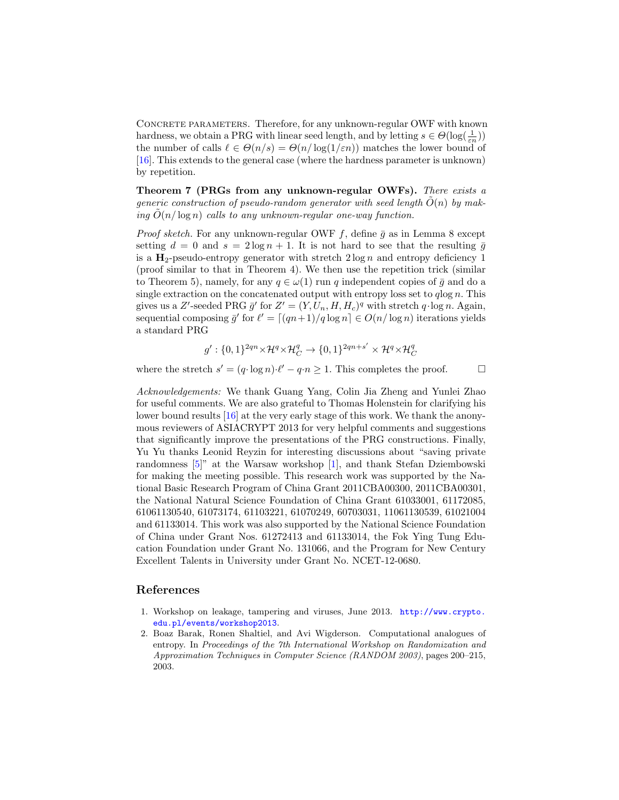CONCRETE PARAMETERS. Therefore, for any unknown-regular OWF with known hardness, we obtain a PRG with linear seed length, and by letting  $s \in \Theta(\log(\frac{1}{\varepsilon n}))$ the number of calls  $\ell \in \Theta(n/s) = \Theta(n/\log(1/\varepsilon n))$  matches the lower bound of [\[16\]](#page-17-3). This extends to the general case (where the hardness parameter is unknown) by repetition.

Theorem 7 (PRGs from any unknown-regular OWFs). There exists a generic construction of pseudo-random generator with seed length  $O(n)$  by making  $O(n/\log n)$  calls to any unknown-regular one-way function.

*Proof sketch.* For any unknown-regular OWF  $f$ , define  $\bar{g}$  as in Lemma 8 except setting  $d = 0$  and  $s = 2 \log n + 1$ . It is not hard to see that the resulting  $\bar{g}$ is a  $\mathbf{H}_2$ -pseudo-entropy generator with stretch  $2 \log n$  and entropy deficiency 1 (proof similar to that in Theorem 4). We then use the repetition trick (similar to Theorem 5), namely, for any  $q \in \omega(1)$  run q independent copies of  $\bar{q}$  and do a single extraction on the concatenated output with entropy loss set to  $q \log n$ . This gives us a Z'-seeded PRG  $\bar{g}'$  for  $Z' = (Y, U_n, H, H_c)^q$  with stretch  $q \cdot \log n$ . Again, sequential composing  $\bar{g}'$  for  $\ell' = \lfloor (qn+1)/q \log n \rfloor \in O(n/\log n)$  iterations yields a standard PRG

$$
g': \{0,1\}^{2qn} \times \mathcal{H}^q \times \mathcal{H}_C^q \rightarrow \{0,1\}^{2qn+s'} \times \mathcal{H}^q \times \mathcal{H}_C^q
$$

where the stretch  $s' = (q \cdot \log n) \cdot \ell' - q \cdot n \ge 1$ . This completes the proof.

Acknowledgements: We thank Guang Yang, Colin Jia Zheng and Yunlei Zhao for useful comments. We are also grateful to Thomas Holenstein for clarifying his lower bound results [\[16\]](#page-17-3) at the very early stage of this work. We thank the anonymous reviewers of ASIACRYPT 2013 for very helpful comments and suggestions that significantly improve the presentations of the PRG constructions. Finally, Yu Yu thanks Leonid Reyzin for interesting discussions about "saving private randomness [\[5\]](#page-17-18)" at the Warsaw workshop [\[1\]](#page-16-1), and thank Stefan Dziembowski for making the meeting possible. This research work was supported by the National Basic Research Program of China Grant 2011CBA00300, 2011CBA00301, the National Natural Science Foundation of China Grant 61033001, 61172085, 61061130540, 61073174, 61103221, 61070249, 60703031, 11061130539, 61021004 and 61133014. This work was also supported by the National Science Foundation of China under Grant Nos. 61272413 and 61133014, the Fok Ying Tung Education Foundation under Grant No. 131066, and the Program for New Century Excellent Talents in University under Grant No. NCET-12-0680.

### References

- <span id="page-16-1"></span>1. Workshop on leakage, tampering and viruses, June 2013. [http://www.crypto.](http://www.crypto.edu.pl/events/workshop2013) [edu.pl/events/workshop2013](http://www.crypto.edu.pl/events/workshop2013).
- <span id="page-16-0"></span>2. Boaz Barak, Ronen Shaltiel, and Avi Wigderson. Computational analogues of entropy. In Proceedings of the 7th International Workshop on Randomization and Approximation Techniques in Computer Science (RANDOM 2003), pages 200–215, 2003.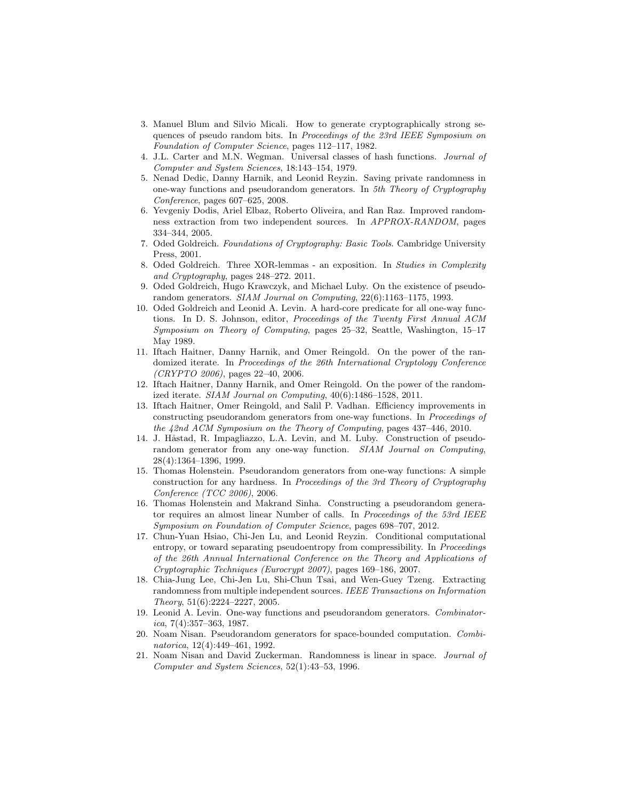- <span id="page-17-4"></span>3. Manuel Blum and Silvio Micali. How to generate cryptographically strong sequences of pseudo random bits. In Proceedings of the 23rd IEEE Symposium on Foundation of Computer Science, pages 112–117, 1982.
- <span id="page-17-12"></span>4. J.L. Carter and M.N. Wegman. Universal classes of hash functions. Journal of Computer and System Sciences, 18:143–154, 1979.
- <span id="page-17-18"></span>5. Nenad Dedic, Danny Harnik, and Leonid Reyzin. Saving private randomness in one-way functions and pseudorandom generators. In 5th Theory of Cryptography Conference, pages 607–625, 2008.
- <span id="page-17-15"></span>6. Yevgeniy Dodis, Ariel Elbaz, Roberto Oliveira, and Ran Raz. Improved randomness extraction from two independent sources. In APPROX-RANDOM, pages 334–344, 2005.
- <span id="page-17-8"></span>7. Oded Goldreich. Foundations of Cryptography: Basic Tools. Cambridge University Press, 2001.
- <span id="page-17-17"></span>8. Oded Goldreich. Three XOR-lemmas - an exposition. In Studies in Complexity and Cryptography, pages 248–272. 2011.
- <span id="page-17-7"></span>9. Oded Goldreich, Hugo Krawczyk, and Michael Luby. On the existence of pseudorandom generators. SIAM Journal on Computing, 22(6):1163–1175, 1993.
- <span id="page-17-5"></span>10. Oded Goldreich and Leonid A. Levin. A hard-core predicate for all one-way functions. In D. S. Johnson, editor, Proceedings of the Twenty First Annual ACM Symposium on Theory of Computing, pages 25–32, Seattle, Washington, 15–17 May 1989.
- <span id="page-17-10"></span>11. Iftach Haitner, Danny Harnik, and Omer Reingold. On the power of the randomized iterate. In Proceedings of the 26th International Cryptology Conference  $(CRYPTO 2006)$ , pages 22-40, 2006.
- <span id="page-17-9"></span>12. Iftach Haitner, Danny Harnik, and Omer Reingold. On the power of the randomized iterate. SIAM Journal on Computing, 40(6):1486–1528, 2011.
- <span id="page-17-2"></span>13. Iftach Haitner, Omer Reingold, and Salil P. Vadhan. Efficiency improvements in constructing pseudorandom generators from one-way functions. In Proceedings of the 42nd ACM Symposium on the Theory of Computing, pages 437–446, 2010.
- <span id="page-17-0"></span>14. J. Håstad, R. Impagliazzo, L.A. Levin, and M. Luby. Construction of pseudorandom generator from any one-way function. SIAM Journal on Computing, 28(4):1364–1396, 1999.
- <span id="page-17-1"></span>15. Thomas Holenstein. Pseudorandom generators from one-way functions: A simple construction for any hardness. In Proceedings of the 3rd Theory of Cryptography Conference (TCC 2006), 2006.
- <span id="page-17-3"></span>16. Thomas Holenstein and Makrand Sinha. Constructing a pseudorandom generator requires an almost linear Number of calls. In Proceedings of the 53rd IEEE Symposium on Foundation of Computer Science, pages 698–707, 2012.
- <span id="page-17-13"></span>17. Chun-Yuan Hsiao, Chi-Jen Lu, and Leonid Reyzin. Conditional computational entropy, or toward separating pseudoentropy from compressibility. In *Proceedings* of the 26th Annual International Conference on the Theory and Applications of Cryptographic Techniques (Eurocrypt 2007), pages 169–186, 2007.
- <span id="page-17-16"></span>18. Chia-Jung Lee, Chi-Jen Lu, Shi-Chun Tsai, and Wen-Guey Tzeng. Extracting randomness from multiple independent sources. IEEE Transactions on Information Theory, 51(6):2224–2227, 2005.
- <span id="page-17-6"></span>19. Leonid A. Levin. One-way functions and pseudorandom generators. Combinator $ica, 7(4):357-363, 1987.$
- <span id="page-17-11"></span>20. Noam Nisan. Pseudorandom generators for space-bounded computation. Combinatorica, 12(4):449–461, 1992.
- <span id="page-17-14"></span>21. Noam Nisan and David Zuckerman. Randomness is linear in space. Journal of Computer and System Sciences, 52(1):43–53, 1996.